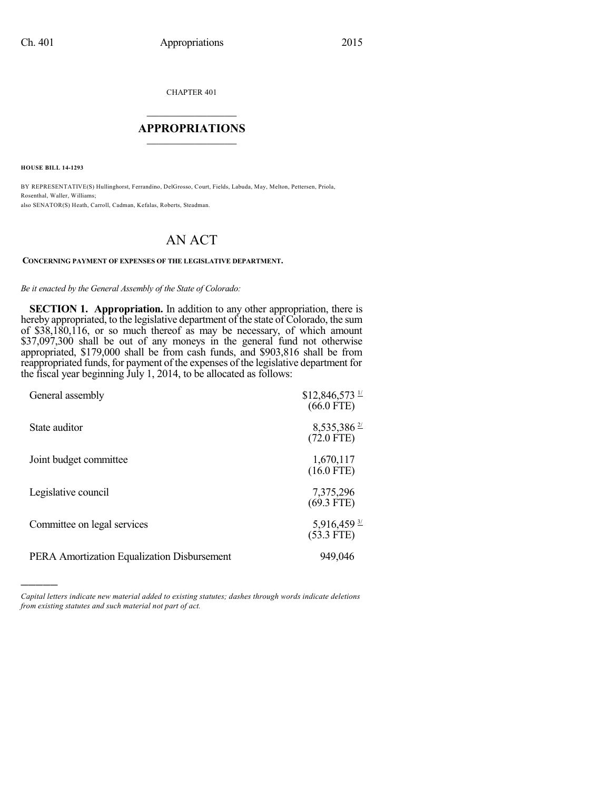CHAPTER 401

## $\mathcal{L}_\text{max}$  . The set of the set of the set of the set of the set of the set of the set of the set of the set of the set of the set of the set of the set of the set of the set of the set of the set of the set of the set **APPROPRIATIONS**  $\_$   $\_$   $\_$   $\_$   $\_$   $\_$   $\_$   $\_$

**HOUSE BILL 14-1293**

)))))

BY REPRESENTATIVE(S) Hullinghorst, Ferrandino, DelGrosso, Court, Fields, Labuda, May, Melton, Pettersen, Priola, Rosenthal, Waller, Williams; also SENATOR(S) Heath, Carroll, Cadman, Kefalas, Roberts, Steadman.

## AN ACT

## **CONCERNING PAYMENT OF EXPENSES OF THE LEGISLATIVE DEPARTMENT.**

## *Be it enacted by the General Assembly of the State of Colorado:*

**SECTION 1. Appropriation.** In addition to any other appropriation, there is hereby appropriated, to the legislative department of the state of Colorado, the sum of \$38,180,116, or so much thereof as may be necessary, of which amount \$37,097,300 shall be out of any moneys in the general fund not otherwise appropriated, \$179,000 shall be from cash funds, and \$903,816 shall be from reappropriated funds, for payment of the expenses of the legislative department for the fiscal year beginning July 1, 2014, to be allocated as follows:

| General assembly                            | $$12,846,573$ $\frac{1}{2}$<br>$(66.0$ FTE) |
|---------------------------------------------|---------------------------------------------|
| State auditor                               | $8,535,386 \frac{27}{2}$<br>$(72.0$ FTE)    |
| Joint budget committee                      | 1,670,117<br>$(16.0$ FTE)                   |
| Legislative council                         | 7,375,296<br>$(69.3$ FTE)                   |
| Committee on legal services                 | $5,916,459 \frac{3}{2}$<br>$(53.3$ FTE)     |
| PERA Amortization Equalization Disbursement | 949,046                                     |

*Capital letters indicate new material added to existing statutes; dashes through words indicate deletions from existing statutes and such material not part of act.*